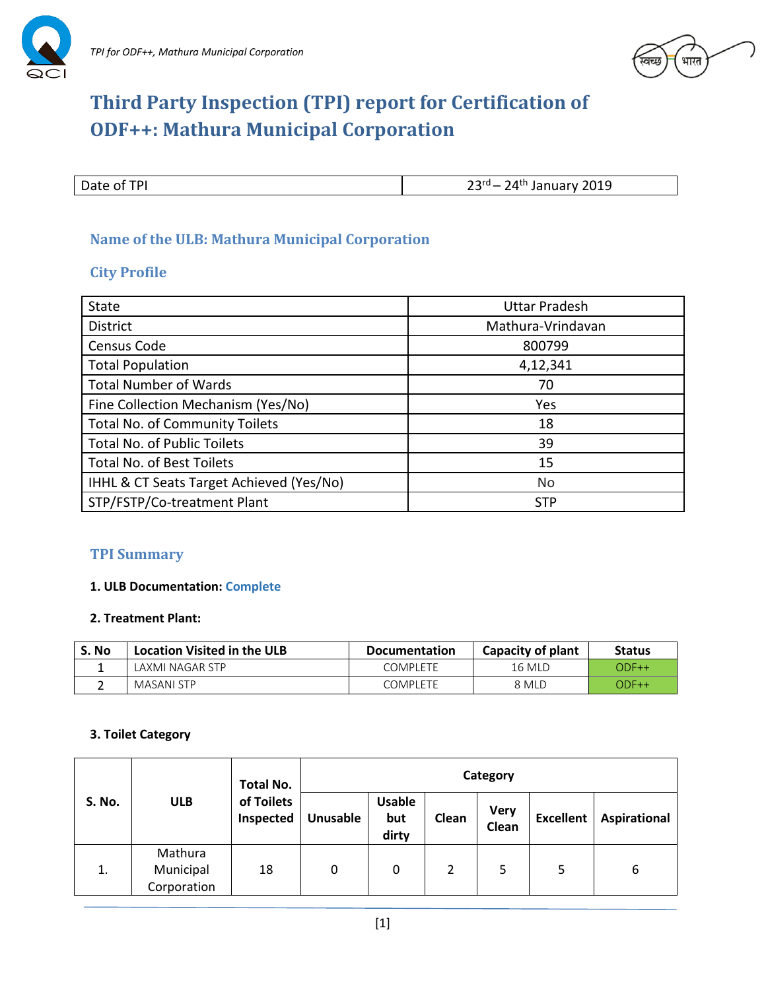



# **Third Party Inspection (TPI) report for Certification of ODF++: Mathura Municipal Corporation**

Date of TPI

 $23<sup>rd</sup> - 24<sup>th</sup>$  January 2019

## **Name of the ULB: Mathura Municipal Corporation**

#### **City Profile**

| <b>State</b>                             | <b>Uttar Pradesh</b> |
|------------------------------------------|----------------------|
| <b>District</b>                          | Mathura-Vrindavan    |
| Census Code                              | 800799               |
| <b>Total Population</b>                  | 4,12,341             |
| <b>Total Number of Wards</b>             | 70                   |
| Fine Collection Mechanism (Yes/No)       | Yes                  |
| <b>Total No. of Community Toilets</b>    | 18                   |
| <b>Total No. of Public Toilets</b>       | 39                   |
| <b>Total No. of Best Toilets</b>         | 15                   |
| IHHL & CT Seats Target Achieved (Yes/No) | No                   |
| STP/FSTP/Co-treatment Plant              | <b>STP</b>           |

# **TPI Summary**

#### **1. ULB Documentation: Complete**

#### **2. Treatment Plant:**

| S. No | <b>Location Visited in the ULB</b> | Documentation   | Capacity of plant | <b>Status</b> |
|-------|------------------------------------|-----------------|-------------------|---------------|
|       | LAXMI NAGAR STP                    | <b>COMPLETE</b> | <b>16 MLD</b>     | $ODF++$       |
|       | MASANI STP                         | COMPLETE        | 8 MLD             | $ODF++$       |

#### **3. Toilet Category**

| <b>S. No.</b> | <b>Total No.</b><br>of Toilets<br><b>ULB</b><br>Inspected | Category |          |                               |       |                      |                  |              |
|---------------|-----------------------------------------------------------|----------|----------|-------------------------------|-------|----------------------|------------------|--------------|
|               |                                                           |          | Unusable | <b>Usable</b><br>but<br>dirty | Clean | <b>Very</b><br>Clean | <b>Excellent</b> | Aspirational |
| 1.            | Mathura<br>Municipal<br>Corporation                       | 18       | 0        | 0                             | 2     | 5                    | 5                | 6            |